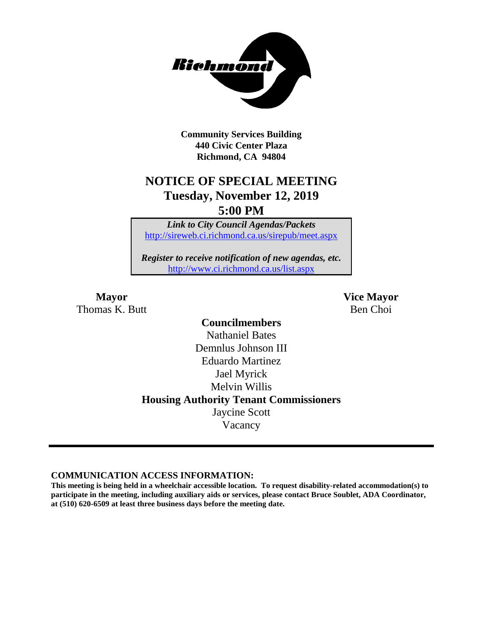

**Community Services Building 440 Civic Center Plaza Richmond, CA 94804**

## **NOTICE OF SPECIAL MEETING Tuesday, November 12, 2019 5:00 PM**

*Link to City Council Agendas/Packets* <http://sireweb.ci.richmond.ca.us/sirepub/meet.aspx>

*Register to receive notification of new agendas, etc.* <http://www.ci.richmond.ca.us/list.aspx>

Thomas K. Butt Ben Choi

**Mayor Vice Mayor**

**Councilmembers** Nathaniel Bates Demnlus Johnson III Eduardo Martinez Jael Myrick Melvin Willis **Housing Authority Tenant Commissioners** Jaycine Scott Vacancy

**COMMUNICATION ACCESS INFORMATION:**

**This meeting is being held in a wheelchair accessible location. To request disability-related accommodation(s) to participate in the meeting, including auxiliary aids or services, please contact Bruce Soublet, ADA Coordinator, at (510) 620-6509 at least three business days before the meeting date.**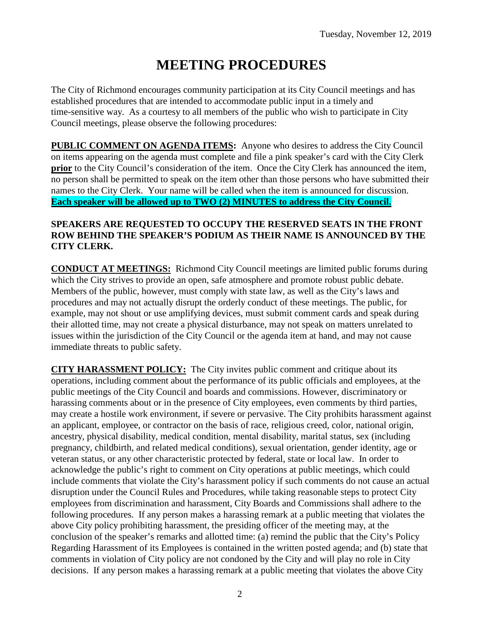# **MEETING PROCEDURES**

The City of Richmond encourages community participation at its City Council meetings and has established procedures that are intended to accommodate public input in a timely and time-sensitive way. As a courtesy to all members of the public who wish to participate in City Council meetings, please observe the following procedures:

**PUBLIC COMMENT ON AGENDA ITEMS:** Anyone who desires to address the City Council on items appearing on the agenda must complete and file a pink speaker's card with the City Clerk **prior** to the City Council's consideration of the item. Once the City Clerk has announced the item, no person shall be permitted to speak on the item other than those persons who have submitted their names to the City Clerk. Your name will be called when the item is announced for discussion. **Each speaker will be allowed up to TWO (2) MINUTES to address the City Council.**

#### **SPEAKERS ARE REQUESTED TO OCCUPY THE RESERVED SEATS IN THE FRONT ROW BEHIND THE SPEAKER'S PODIUM AS THEIR NAME IS ANNOUNCED BY THE CITY CLERK.**

**CONDUCT AT MEETINGS:** Richmond City Council meetings are limited public forums during which the City strives to provide an open, safe atmosphere and promote robust public debate. Members of the public, however, must comply with state law, as well as the City's laws and procedures and may not actually disrupt the orderly conduct of these meetings. The public, for example, may not shout or use amplifying devices, must submit comment cards and speak during their allotted time, may not create a physical disturbance, may not speak on matters unrelated to issues within the jurisdiction of the City Council or the agenda item at hand, and may not cause immediate threats to public safety.

**CITY HARASSMENT POLICY:** The City invites public comment and critique about its operations, including comment about the performance of its public officials and employees, at the public meetings of the City Council and boards and commissions. However, discriminatory or harassing comments about or in the presence of City employees, even comments by third parties, may create a hostile work environment, if severe or pervasive. The City prohibits harassment against an applicant, employee, or contractor on the basis of race, religious creed, color, national origin, ancestry, physical disability, medical condition, mental disability, marital status, sex (including pregnancy, childbirth, and related medical conditions), sexual orientation, gender identity, age or veteran status, or any other characteristic protected by federal, state or local law. In order to acknowledge the public's right to comment on City operations at public meetings, which could include comments that violate the City's harassment policy if such comments do not cause an actual disruption under the Council Rules and Procedures, while taking reasonable steps to protect City employees from discrimination and harassment, City Boards and Commissions shall adhere to the following procedures. If any person makes a harassing remark at a public meeting that violates the above City policy prohibiting harassment, the presiding officer of the meeting may, at the conclusion of the speaker's remarks and allotted time: (a) remind the public that the City's Policy Regarding Harassment of its Employees is contained in the written posted agenda; and (b) state that comments in violation of City policy are not condoned by the City and will play no role in City decisions. If any person makes a harassing remark at a public meeting that violates the above City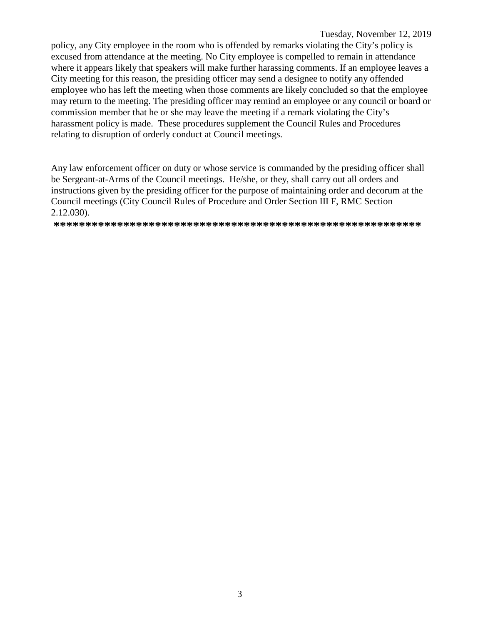#### Tuesday, November 12, 2019

policy, any City employee in the room who is offended by remarks violating the City's policy is excused from attendance at the meeting. No City employee is compelled to remain in attendance where it appears likely that speakers will make further harassing comments. If an employee leaves a City meeting for this reason, the presiding officer may send a designee to notify any offended employee who has left the meeting when those comments are likely concluded so that the employee may return to the meeting. The presiding officer may remind an employee or any council or board or commission member that he or she may leave the meeting if a remark violating the City's harassment policy is made. These procedures supplement the Council Rules and Procedures relating to disruption of orderly conduct at Council meetings.

Any law enforcement officer on duty or whose service is commanded by the presiding officer shall be Sergeant-at-Arms of the Council meetings. He/she, or they, shall carry out all orders and instructions given by the presiding officer for the purpose of maintaining order and decorum at the Council meetings (City Council Rules of Procedure and Order Section III F, RMC Section  $2.12.030$ ).